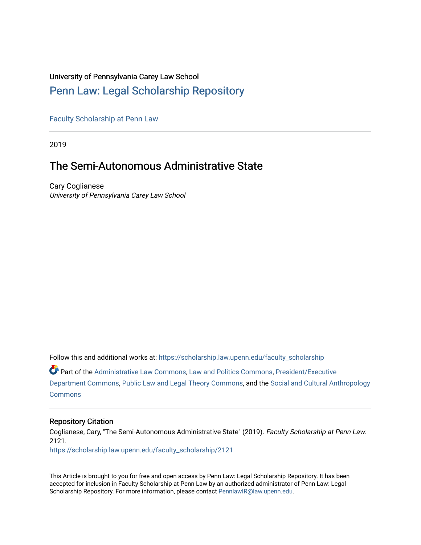### University of Pennsylvania Carey Law School

## [Penn Law: Legal Scholarship Repository](https://scholarship.law.upenn.edu/)

[Faculty Scholarship at Penn Law](https://scholarship.law.upenn.edu/faculty_scholarship)

2019

# The Semi-Autonomous Administrative State

Cary Coglianese University of Pennsylvania Carey Law School

Follow this and additional works at: [https://scholarship.law.upenn.edu/faculty\\_scholarship](https://scholarship.law.upenn.edu/faculty_scholarship?utm_source=scholarship.law.upenn.edu%2Ffaculty_scholarship%2F2121&utm_medium=PDF&utm_campaign=PDFCoverPages) 

Part of the [Administrative Law Commons,](http://network.bepress.com/hgg/discipline/579?utm_source=scholarship.law.upenn.edu%2Ffaculty_scholarship%2F2121&utm_medium=PDF&utm_campaign=PDFCoverPages) [Law and Politics Commons,](http://network.bepress.com/hgg/discipline/867?utm_source=scholarship.law.upenn.edu%2Ffaculty_scholarship%2F2121&utm_medium=PDF&utm_campaign=PDFCoverPages) [President/Executive](http://network.bepress.com/hgg/discipline/1118?utm_source=scholarship.law.upenn.edu%2Ffaculty_scholarship%2F2121&utm_medium=PDF&utm_campaign=PDFCoverPages)  [Department Commons](http://network.bepress.com/hgg/discipline/1118?utm_source=scholarship.law.upenn.edu%2Ffaculty_scholarship%2F2121&utm_medium=PDF&utm_campaign=PDFCoverPages), [Public Law and Legal Theory Commons](http://network.bepress.com/hgg/discipline/871?utm_source=scholarship.law.upenn.edu%2Ffaculty_scholarship%2F2121&utm_medium=PDF&utm_campaign=PDFCoverPages), and the [Social and Cultural Anthropology](http://network.bepress.com/hgg/discipline/323?utm_source=scholarship.law.upenn.edu%2Ffaculty_scholarship%2F2121&utm_medium=PDF&utm_campaign=PDFCoverPages)  **[Commons](http://network.bepress.com/hgg/discipline/323?utm_source=scholarship.law.upenn.edu%2Ffaculty_scholarship%2F2121&utm_medium=PDF&utm_campaign=PDFCoverPages)** 

#### Repository Citation

Coglianese, Cary, "The Semi-Autonomous Administrative State" (2019). Faculty Scholarship at Penn Law. 2121. [https://scholarship.law.upenn.edu/faculty\\_scholarship/2121](https://scholarship.law.upenn.edu/faculty_scholarship/2121?utm_source=scholarship.law.upenn.edu%2Ffaculty_scholarship%2F2121&utm_medium=PDF&utm_campaign=PDFCoverPages)

This Article is brought to you for free and open access by Penn Law: Legal Scholarship Repository. It has been accepted for inclusion in Faculty Scholarship at Penn Law by an authorized administrator of Penn Law: Legal Scholarship Repository. For more information, please contact [PennlawIR@law.upenn.edu.](mailto:PennlawIR@law.upenn.edu)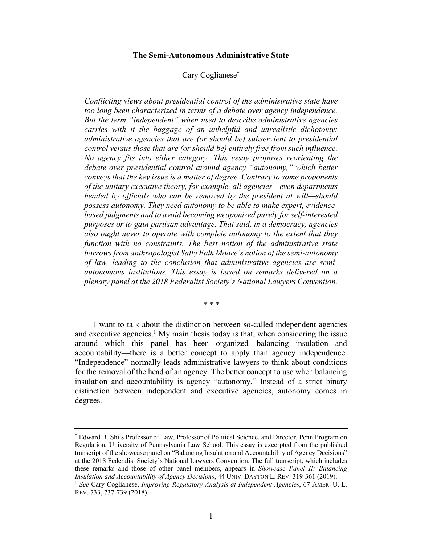#### **The Semi-Autonomous Administrative State**

#### Cary Coglianese\*

*Conflicting views about presidential control of the administrative state have too long been characterized in terms of a debate over agency independence. But the term "independent" when used to describe administrative agencies carries with it the baggage of an unhelpful and unrealistic dichotomy: administrative agencies that are (or should be) subservient to presidential control versus those that are (or should be) entirely free from such influence. No agency fits into either category. This essay proposes reorienting the debate over presidential control around agency "autonomy," which better conveys that the key issue is a matter of degree. Contrary to some proponents of the unitary executive theory, for example, all agencies—even departments headed by officials who can be removed by the president at will—should possess autonomy. They need autonomy to be able to make expert, evidencebased judgments and to avoid becoming weaponized purely for self-interested purposes or to gain partisan advantage. That said, in a democracy, agencies also ought never to operate with complete autonomy to the extent that they function with no constraints. The best notion of the administrative state borrows from anthropologist Sally Falk Moore's notion of the semi-autonomy of law, leading to the conclusion that administrative agencies are semiautonomous institutions. This essay is based on remarks delivered on a plenary panel at the 2018 Federalist Society's National Lawyers Convention.*

*\* \* \**

I want to talk about the distinction between so-called independent agencies and executive agencies.<sup>1</sup> My main thesis today is that, when considering the issue around which this panel has been organized—balancing insulation and accountability—there is a better concept to apply than agency independence. "Independence" normally leads administrative lawyers to think about conditions for the removal of the head of an agency. The better concept to use when balancing insulation and accountability is agency "autonomy." Instead of a strict binary distinction between independent and executive agencies, autonomy comes in degrees.

<sup>\*</sup> Edward B. Shils Professor of Law, Professor of Political Science, and Director, Penn Program on Regulation, University of Pennsylvania Law School. This essay is excerpted from the published transcript of the showcase panel on "Balancing Insulation and Accountability of Agency Decisions" at the 2018 Federalist Society's National Lawyers Convention. The full transcript, which includes these remarks and those of other panel members, appears in *Showcase Panel II: Balancing Insulation and Accountability of Agency Decisions*, 44 UNIV. DAYTON L. REV. 319-361 (2019).

<sup>1</sup> *See* Cary Coglianese, *Improving Regulatory Analysis at Independent Agencies*, 67 AMER. U. L. REV. 733, 737-739 (2018).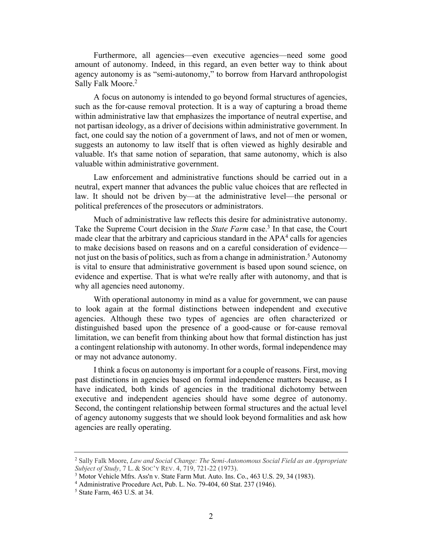Furthermore, all agencies—even executive agencies—need some good amount of autonomy. Indeed, in this regard, an even better way to think about agency autonomy is as "semi-autonomy," to borrow from Harvard anthropologist Sally Falk Moore. 2

A focus on autonomy is intended to go beyond formal structures of agencies, such as the for-cause removal protection. It is a way of capturing a broad theme within administrative law that emphasizes the importance of neutral expertise, and not partisan ideology, as a driver of decisions within administrative government. In fact, one could say the notion of a government of laws, and not of men or women, suggests an autonomy to law itself that is often viewed as highly desirable and valuable. It's that same notion of separation, that same autonomy, which is also valuable within administrative government.

Law enforcement and administrative functions should be carried out in a neutral, expert manner that advances the public value choices that are reflected in law. It should not be driven by—at the administrative level—the personal or political preferences of the prosecutors or administrators.

Much of administrative law reflects this desire for administrative autonomy. Take the Supreme Court decision in the *State Farm* case.<sup>3</sup> In that case, the Court made clear that the arbitrary and capricious standard in the  $APA<sup>4</sup>$  calls for agencies to make decisions based on reasons and on a careful consideration of evidence not just on the basis of politics, such as from a change in administration.<sup>5</sup> Autonomy is vital to ensure that administrative government is based upon sound science, on evidence and expertise. That is what we're really after with autonomy, and that is why all agencies need autonomy.

With operational autonomy in mind as a value for government, we can pause to look again at the formal distinctions between independent and executive agencies. Although these two types of agencies are often characterized or distinguished based upon the presence of a good-cause or for-cause removal limitation, we can benefit from thinking about how that formal distinction has just a contingent relationship with autonomy. In other words, formal independence may or may not advance autonomy.

I think a focus on autonomy is important for a couple of reasons. First, moving past distinctions in agencies based on formal independence matters because, as I have indicated, both kinds of agencies in the traditional dichotomy between executive and independent agencies should have some degree of autonomy. Second, the contingent relationship between formal structures and the actual level of agency autonomy suggests that we should look beyond formalities and ask how agencies are really operating.

<sup>2</sup> Sally Falk Moore, *Law and Social Change: The Semi-Autonomous Social Field as an Appropriate Subject of Study*, 7 L. & SOC'Y REV. 4, 719, 721-22 (1973).

<sup>3</sup> Motor Vehicle Mfrs. Ass'n v. State Farm Mut. Auto. Ins. Co., 463 U.S. 29, 34 (1983).

<sup>4</sup> Administrative Procedure Act, Pub. L. No. 79-404, 60 Stat. 237 (1946).

<sup>5</sup> State Farm, 463 U.S. at 34.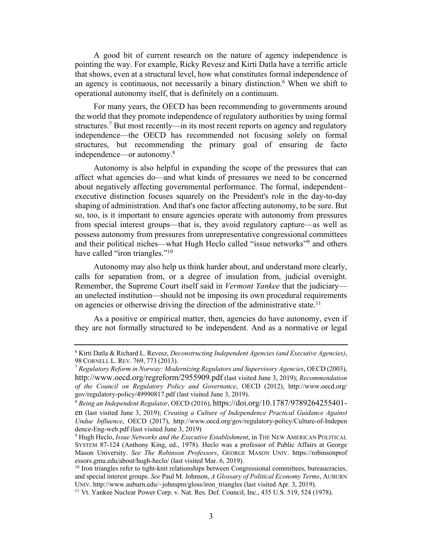A good bit of current research on the nature of agency independence is pointing the way. For example, Ricky Revesz and Kirti Datla have a terrific article that shows, even at a structural level, how what constitutes formal independence of an agency is continuous, not necessarily a binary distinction.6 When we shift to operational autonomy itself, that is definitely on a continuum.

For many years, the OECD has been recommending to governments around the world that they promote independence of regulatory authorities by using formal structures.7 But most recently—in its most recent reports on agency and regulatory independence—the OECD has recommended not focusing solely on formal structures, but recommending the primary goal of ensuring de facto independence—or autonomy.8

Autonomy is also helpful in expanding the scope of the pressures that can affect what agencies do—and what kinds of pressures we need to be concerned about negatively affecting governmental performance. The formal, independent– executive distinction focuses squarely on the President's role in the day-to-day shaping of administration. And that's one factor affecting autonomy, to be sure. But so, too, is it important to ensure agencies operate with autonomy from pressures from special interest groups—that is, they avoid regulatory capture—as well as possess autonomy from pressures from unrepresentative congressional committees and their political niches—what Hugh Heclo called "issue networks"9 and others have called "iron triangles."<sup>10</sup>

Autonomy may also help us think harder about, and understand more clearly, calls for separation from, or a degree of insulation from, judicial oversight. Remember, the Supreme Court itself said in *Vermont Yankee* that the judiciary an unelected institution—should not be imposing its own procedural requirements on agencies or otherwise driving the direction of the administrative state.<sup>11</sup>

As a positive or empirical matter, then, agencies do have autonomy, even if they are not formally structured to be independent. And as a normative or legal

<sup>6</sup> Kirti Datla & Richard L. Revesz, *Deconstructing Independent Agencies (and Executive Agencies)*, 98 CORNELL L. REV. 769, 773 (2013).

<sup>7</sup> *Regulatory Reform in Norway: Modernizing Regulators and Supervisory Agencies*, OECD (2003), http://www.oecd.org/regreform/2955909.pdf (last visited June 3, 2019); *Recommendation of the Council on Regulatory Policy and Governance*, OECD (2012), http://www.oecd.org/ gov/regulatory-policy/49990817.pdf (last visited June 3, 2019).

<sup>8</sup> *Being an Independent Regulator*, OECD (2016), https://doi.org/10.1787/9789264255401-

en (last visited June 3, 2019); *Creating a Culture of Independence Practical Guidance Against Undue Influence*, OECD (2017), http://www.oecd.org/gov/regulatory-policy/Culture-of-Indepen dence-Eng-web.pdf (last visited June 3, 2019)

<sup>9</sup> Hugh Heclo, *Issue Networks and the Executive Establishment*, in THE NEW AMERICAN POLITICAL SYSTEM 87-124 (Anthony King, ed., 1978). Heclo was a professor of Public Affairs at George Mason University. *See The Robinson Professors*, GEORGE MASON UNIV. https://robinsonprof essors.gmu.edu/about/hugh-heclo/ (last visited Mar. 6, 2019).

<sup>&</sup>lt;sup>10</sup> Iron triangles refer to tight-knit relationships between Congressional committees, bureaucracies, and special interest groups. *See* Paul M. Johnson, *A Glossary of Political Economy Terms*, AUBURN UNIV. http://www.auburn.edu/~johnspm/gloss/iron\_triangles (last visited Apr. 3, 2019).

<sup>&</sup>lt;sup>11</sup> Vt. Yankee Nuclear Power Corp. v. Nat. Res. Def. Council, Inc., 435 U.S. 519, 524 (1978).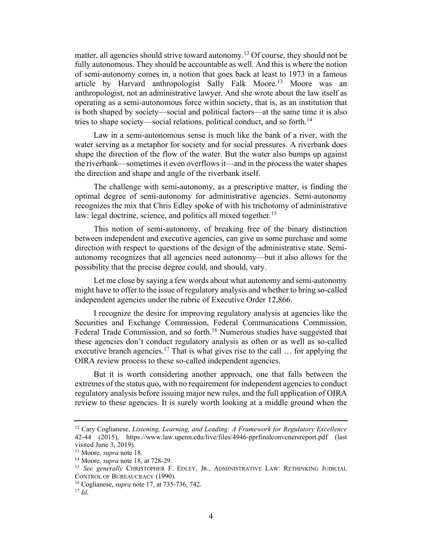matter, all agencies should strive toward autonomy.12 Of course, they should not be fully autonomous. They should be accountable as well. And this is where the notion of semi-autonomy comes in, a notion that goes back at least to 1973 in a famous article by Harvard anthropologist Sally Falk Moore.<sup>13</sup> Moore was an anthropologist, not an administrative lawyer. And she wrote about the law itself as operating as a semi-autonomous force within society, that is, as an institution that is both shaped by society—social and political factors—at the same time it is also tries to shape society—social relations, political conduct, and so forth.<sup>14</sup>

Law in a semi-autonomous sense is much like the bank of a river, with the water serving as a metaphor for society and for social pressures. A riverbank does shape the direction of the flow of the water. But the water also bumps up against the riverbank—sometimes it even overflows it—and in the process the water shapes the direction and shape and angle of the riverbank itself.

The challenge with semi-autonomy, as a prescriptive matter, is finding the optimal degree of semi-autonomy for administrative agencies. Semi-autonomy recognizes the mix that Chris Edley spoke of with his trichotomy of administrative law: legal doctrine, science, and politics all mixed together.<sup>15</sup>

This notion of semi-autonomy, of breaking free of the binary distinction between independent and executive agencies, can give us some purchase and some direction with respect to questions of the design of the administrative state. Semiautonomy recognizes that all agencies need autonomy—but it also allows for the possibility that the precise degree could, and should, vary.

Let me close by saying a few words about what autonomy and semi-autonomy might have to offer to the issue of regulatory analysis and whether to bring so-called independent agencies under the rubric of Executive Order 12,866.

I recognize the desire for improving regulatory analysis at agencies like the Securities and Exchange Commission, Federal Communications Commission, Federal Trade Commission, and so forth.<sup>16</sup> Numerous studies have suggested that these agencies don't conduct regulatory analysis as often or as well as so-called executive branch agencies.<sup>17</sup> That is what gives rise to the call  $\ldots$  for applying the OIRA review process to these so-called independent agencies.

But it is worth considering another approach, one that falls between the extremes of the status quo, with no requirement for independent agencies to conduct regulatory analysis before issuing major new rules, and the full application of OIRA review to these agencies. It is surely worth looking at a middle ground when the

<sup>12</sup> Cary Coglianese, *Listening, Learning, and Leading: A Framework for Regulatory Excellence* 42-44 (2015), https://www.law.upenn.edu/live/files/4946-pprfinalconvenersreport.pdf (last visited June 3, 2019).

<sup>&</sup>lt;sup>13</sup> Moore, *supra* note 18.<br><sup>14</sup> Moore, *supra* note 18, at 728-29.

<sup>&</sup>lt;sup>15</sup> See generally CHRISTOPHER F. EDLEY, JR., ADMINISTRATIVE LAW: RETHINKING JUDICIAL CONTROL OF BUREAUCRACY (1990).

<sup>16</sup> Coglianese, *supra* note 17, at 735-736, 742.

<sup>17</sup> *Id*.